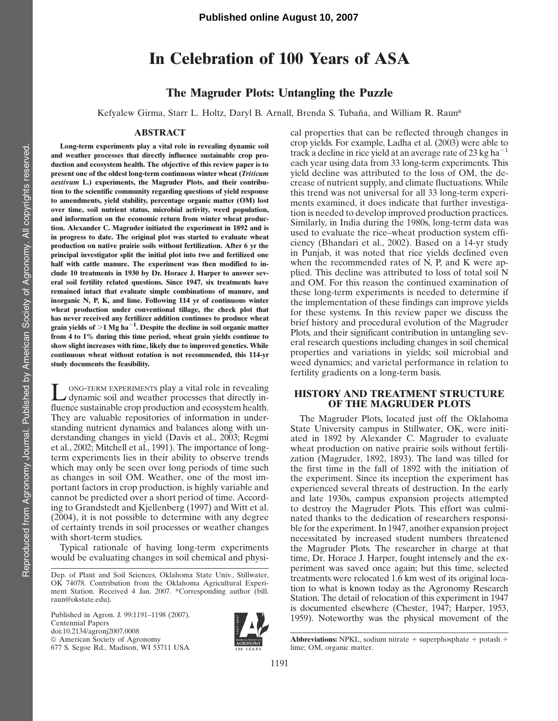# In Celebration of 100 Years of ASA

## The Magruder Plots: Untangling the Puzzle

Kefyalew Girma, Starr L. Holtz, Daryl B. Arnall, Brenda S. Tubaña, and William R. Raun\*

#### ABSTRACT

Long-term experiments play a vital role in revealing dynamic soil and weather processes that directly influence sustainable crop production and ecosystem health. The objective of this review paper is to present one of the oldest long-term continuous winter wheat (Triticum aestivum L.) experiments, the Magruder Plots, and their contribution to the scientific community regarding questions of yield response to amendments, yield stability, percentage organic matter (OM) lost over time, soil nutrient status, microbial activity, weed population, and information on the economic return from winter wheat production. Alexander C. Magruder initiated the experiment in 1892 and is in progress to date. The original plot was started to evaluate wheat production on native prairie soils without fertilization. After 6 yr the principal investigator split the initial plot into two and fertilized one half with cattle manure. The experiment was then modified to include 10 treatments in 1930 by Dr. Horace J. Harper to answer several soil fertility related questions. Since 1947, six treatments have remained intact that evaluate simple combinations of manure, and inorganic N, P, K, and lime. Following 114 yr of continuous winter wheat production under conventional tillage, the check plot that has never received any fertilizer addition continues to produce wheat grain yields of  $>$ 1 Mg ha<sup>-1</sup>. Despite the decline in soil organic matter from 4 to 1% during this time period, wheat grain yields continue to show slight increases with time, likely due to improved genetics. While continuous wheat without rotation is not recommended, this 114-yr study documents the feasibility.

L ONG-TERM EXPERIMENTS play a vital role in revealing<br>dynamic soil and weather processes that directly influence sustainable crop production and ecosystem health. They are valuable repositories of information in understanding nutrient dynamics and balances along with understanding changes in yield (Davis et al., 2003; Regmi et al., 2002; Mitchell et al., 1991). The importance of longterm experiments lies in their ability to observe trends which may only be seen over long periods of time such as changes in soil OM. Weather, one of the most important factors in crop production, is highly variable and cannot be predicted over a short period of time. According to Grandstedt and Kjellenberg (1997) and Witt et al. (2004), it is not possible to determine with any degree of certainty trends in soil processes or weather changes with short-term studies.

Typical rationale of having long-term experiments would be evaluating changes in soil chemical and physi-

Published in Agron. J. 99:1191–1198 (2007). Centennial Papers doi:10.2134/agronj2007.0008 © American Society of Agronomy 677 S. Segoe Rd., Madison, WI 53711 USA



cal properties that can be reflected through changes in crop yields. For example, Ladha et al. (2003) were able to track a decline in rice yield at an average rate of 23 kg ha<sup> $-1$ </sup> each year using data from 33 long-term experiments. This yield decline was attributed to the loss of OM, the decrease of nutrient supply, and climate fluctuations. While this trend was not universal for all 33 long-term experiments examined, it does indicate that further investigation is needed to develop improved production practices. Similarly, in India during the 1980s, long-term data was used to evaluate the rice–wheat production system efficiency (Bhandari et al., 2002). Based on a 14-yr study in Punjab, it was noted that rice yields declined even when the recommended rates of N, P, and K were applied. This decline was attributed to loss of total soil N and OM. For this reason the continued examination of these long-term experiments is needed to determine if the implementation of these findings can improve yields for these systems. In this review paper we discuss the brief history and procedural evolution of the Magruder Plots, and their significant contribution in untangling several research questions including changes in soil chemical properties and variations in yields; soil microbial and weed dynamics; and varietal performance in relation to fertility gradients on a long-term basis.

#### HISTORY AND TREATMENT STRUCTURE OF THE MAGRUDER PLOTS

The Magruder Plots, located just off the Oklahoma State University campus in Stillwater, OK, were initiated in 1892 by Alexander C. Magruder to evaluate wheat production on native prairie soils without fertilization (Magruder, 1892, 1893). The land was tilled for the first time in the fall of 1892 with the initiation of the experiment. Since its inception the experiment has experienced several threats of destruction. In the early and late 1930s, campus expansion projects attempted to destroy the Magruder Plots. This effort was culminated thanks to the dedication of researchers responsible for the experiment. In 1947, another expansion project necessitated by increased student numbers threatened the Magruder Plots. The researcher in charge at that time, Dr. Horace J. Harper, fought intensely and the experiment was saved once again; but this time, selected treatments were relocated 1.6 km west of its original location to what is known today as the Agronomy Research Station. The detail of relocation of this experiment in 1947 is documented elsewhere (Chester, 1947; Harper, 1953, 1959). Noteworthy was the physical movement of the

**Abbreviations:** NPKL, sodium nitrate  $+$  superphosphate  $+$  potash  $+$ lime; OM, organic matter.

Dep. of Plant and Soil Sciences, Oklahoma State Univ., Stillwater, OK 74078. Contribution from the Oklahoma Agricultural Experiment Station. Received 4 Jan. 2007. \*Corresponding author (bill. raun@okstate.edu).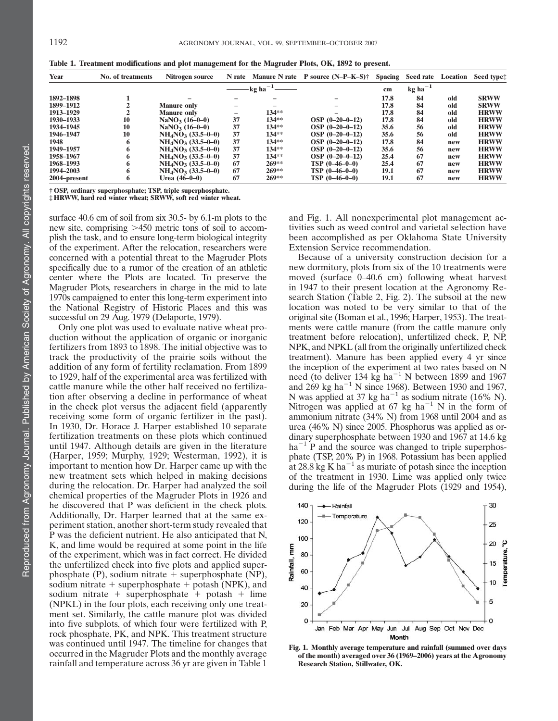| Year         | <b>No. of treatments</b> | Nitrogen source            | N rate |                    | Manure N rate P source $(N-P-K-S)^+$ | <b>Spacing</b> | Seed rate             | Location | Seed type:  |
|--------------|--------------------------|----------------------------|--------|--------------------|--------------------------------------|----------------|-----------------------|----------|-------------|
|              |                          |                            |        | $-kg$ ha $^{-1}$ — |                                      | cm             | $kg$ ha <sup>-1</sup> |          |             |
| 1892-1898    |                          |                            |        |                    |                                      | 17.8           | 84                    | old      | <b>SRWW</b> |
| 1899-1912    |                          | <b>Manure only</b>         |        | -                  |                                      | 17.8           | 84                    | old      | <b>SRWW</b> |
| 1913-1929    |                          | <b>Manure only</b>         |        | $134**$            |                                      | 17.8           | 84                    | old      | <b>HRWW</b> |
| 1930-1933    | 10                       | $\text{NaNO}_3 \ (16-0-0)$ | 37     | $134**$            | $OSP (0-20-0-12)$                    | 17.8           | 84                    | old      | <b>HRWW</b> |
| 1934-1945    | 10                       | $\text{NaNO}_3 (16-0-0)$   | 37     | $134**$            | $OSP (0-20-0-12)$                    | 35.6           | 56                    | old      | <b>HRWW</b> |
| 1946-1947    | 10                       | $NH4NO3$ (33.5–0–0)        | 37     | $134**$            | $OSP (0-20-0-12)$                    | 35.6           | 56                    | old      | <b>HRWW</b> |
| 1948         | 6                        | $NH4NO3$ (33.5–0–0)        | 37     | $134**$            | $OSP (0-20-0-12)$                    | 17.8           | 84                    | new      | <b>HRWW</b> |
| 1949-1957    |                          | $NH4NO3$ (33.5–0–0)        | 37     | $134**$            | $OSP (0-20-0-12)$                    | 35.6           | 56                    | new      | <b>HRWW</b> |
| 1958-1967    |                          | $NH4NO3$ (33.5–0–0)        | 37     | $134**$            | $OSP (0-20-0-12)$                    | 25.4           | 67                    | new      | <b>HRWW</b> |
| 1968-1993    |                          | $NH4NO3$ (33.5–0–0)        | 67     | $269**$            | $TSP(0-46-0-0)$                      | 25.4           | 67                    | new      | <b>HRWW</b> |
| 1994-2003    | 6                        | $NH4NO3$ (33.5–0–0)        | 67     | $269**$            | $TSP(0-46-0-0)$                      | 19.1           | 67                    | new      | <b>HRWW</b> |
| 2004–present | 6                        | Urea (46–0–0)              | 67     | $269**$            | $TSP(0-46-0-0)$                      | 19.1           | 67                    | new      | <b>HRWW</b> |

Table 1. Treatment modifications and plot management for the Magruder Plots, OK, 1892 to present.

† OSP, ordinary superphosphate; TSP, triple superphosphate.

‡ HRWW, hard red winter wheat; SRWW, soft red winter wheat.

surface 40.6 cm of soil from six 30.5- by 6.1-m plots to the new site, comprising  $>450$  metric tons of soil to accomplish the task, and to ensure long-term biological integrity of the experiment. After the relocation, researchers were concerned with a potential threat to the Magruder Plots specifically due to a rumor of the creation of an athletic center where the Plots are located. To preserve the Magruder Plots, researchers in charge in the mid to late 1970s campaigned to enter this long-term experiment into the National Registry of Historic Places and this was successful on 29 Aug. 1979 (Delaporte, 1979).

Only one plot was used to evaluate native wheat production without the application of organic or inorganic fertilizers from 1893 to 1898. The initial objective was to track the productivity of the prairie soils without the addition of any form of fertility reclamation. From 1899 to 1929, half of the experimental area was fertilized with cattle manure while the other half received no fertilization after observing a decline in performance of wheat in the check plot versus the adjacent field (apparently receiving some form of organic fertilizer in the past). In 1930, Dr. Horace J. Harper established 10 separate fertilization treatments on these plots which continued until 1947. Although details are given in the literature (Harper, 1959; Murphy, 1929; Westerman, 1992), it is important to mention how Dr. Harper came up with the new treatment sets which helped in making decisions during the relocation. Dr. Harper had analyzed the soil chemical properties of the Magruder Plots in 1926 and he discovered that P was deficient in the check plots. Additionally, Dr. Harper learned that at the same experiment station, another short-term study revealed that P was the deficient nutrient. He also anticipated that N, K, and lime would be required at some point in the life of the experiment, which was in fact correct. He divided the unfertilized check into five plots and applied superphosphate (P), sodium nitrate  $+$  superphosphate (NP), sodium nitrate  $+$  superphosphate  $+$  potash (NPK), and sodium nitrate  $+$  superphosphate  $+$  potash  $+$  lime (NPKL) in the four plots, each receiving only one treatment set. Similarly, the cattle manure plot was divided into five subplots, of which four were fertilized with P, rock phosphate, PK, and NPK. This treatment structure was continued until 1947. The timeline for changes that occurred in the Magruder Plots and the monthly average rainfall and temperature across 36 yr are given in Table 1

and Fig. 1. All nonexperimental plot management activities such as weed control and varietal selection have been accomplished as per Oklahoma State University Extension Service recommendation.

Because of a university construction decision for a new dormitory, plots from six of the 10 treatments were moved (surface 0–40.6 cm) following wheat harvest in 1947 to their present location at the Agronomy Research Station (Table 2, Fig. 2). The subsoil at the new location was noted to be very similar to that of the original site (Boman et al., 1996; Harper, 1953). The treatments were cattle manure (from the cattle manure only treatment before relocation), unfertilized check, P, NP, NPK, and NPKL (all from the originally unfertilized check treatment). Manure has been applied every 4 yr since the inception of the experiment at two rates based on N need (to deliver 134 kg ha<sup>-1</sup> N between 1899 and 1967 and  $269 \text{ kg } \text{ha}^{-1} \text{ N}$  since 1968). Between 1930 and 1967, N was applied at 37 kg ha<sup> $-1$ </sup> as sodium nitrate (16% N). Nitrogen was applied at 67 kg ha<sup> $-1$ </sup> N in the form of ammonium nitrate (34% N) from 1968 until 2004 and as urea (46% N) since 2005. Phosphorus was applied as ordinary superphosphate between 1930 and 1967 at 14.6 kg  $ha^{-1}$  P and the source was changed to triple superphosphate (TSP, 20% P) in 1968. Potassium has been applied at 28.8 kg K ha<sup> $-1$ </sup> as muriate of potash since the inception of the treatment in 1930. Lime was applied only twice during the life of the Magruder Plots (1929 and 1954),



Fig. 1. Monthly average temperature and rainfall (summed over days of the month) averaged over 36 (1969–2006) years at the Agronomy Research Station, Stillwater, OK.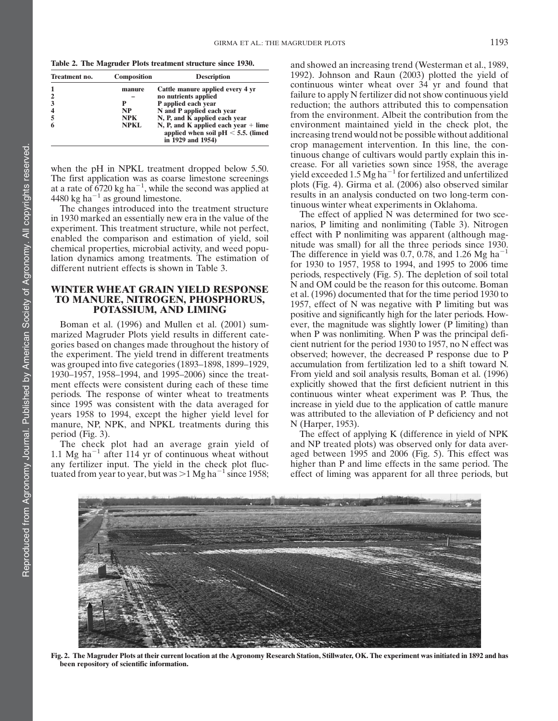Table 2. The Magruder Plots treatment structure since 1930.

| Treatment no.           | <b>Composition</b> | <b>Description</b>                                                                                   |
|-------------------------|--------------------|------------------------------------------------------------------------------------------------------|
|                         | manure             | Cattle manure applied every 4 yr                                                                     |
| $\overline{2}$          |                    | no nutrients applied                                                                                 |
| 3                       |                    | P applied each year                                                                                  |
| $\overline{\mathbf{4}}$ | <b>NP</b>          | N and P applied each year                                                                            |
| 5                       | NPK.               | N, P, and K applied each year                                                                        |
| 6                       | NPKL               | N, P, and K applied each year $+$ lime<br>applied when soil $pH < 5.5$ . (limed<br>in 1929 and 1954) |

when the pH in NPKL treatment dropped below 5.50. The first application was as coarse limestone screenings at a rate of 6720 kg ha<sup>-1</sup>, while the second was applied at 4480 kg ha<sup> $-1$ </sup> as ground limestone.

The changes introduced into the treatment structure in 1930 marked an essentially new era in the value of the experiment. This treatment structure, while not perfect, enabled the comparison and estimation of yield, soil chemical properties, microbial activity, and weed population dynamics among treatments. The estimation of different nutrient effects is shown in Table 3.

### WINTER WHEAT GRAIN YIELD RESPONSE TO MANURE, NITROGEN, PHOSPHORUS, POTASSIUM, AND LIMING

Boman et al. (1996) and Mullen et al. (2001) summarized Magruder Plots yield results in different categories based on changes made throughout the history of the experiment. The yield trend in different treatments was grouped into five categories (1893–1898, 1899–1929, 1930–1957, 1958–1994, and 1995–2006) since the treatment effects were consistent during each of these time periods. The response of winter wheat to treatments since 1995 was consistent with the data averaged for years 1958 to 1994, except the higher yield level for manure, NP, NPK, and NPKL treatments during this period (Fig. 3).

The check plot had an average grain yield of 1.1 Mg ha<sup> $-1$ </sup> after 114 yr of continuous wheat without any fertilizer input. The yield in the check plot fluctuated from year to year, but was  $>1$  Mg ha<sup>-1</sup> since 1958; and showed an increasing trend (Westerman et al., 1989, 1992). Johnson and Raun (2003) plotted the yield of continuous winter wheat over 34 yr and found that failure to apply N fertilizer did not show continuous yield reduction; the authors attributed this to compensation from the environment. Albeit the contribution from the environment maintained yield in the check plot, the increasing trend would not be possible without additional crop management intervention. In this line, the continuous change of cultivars would partly explain this increase. For all varieties sown since 1958, the average yield exceeded 1.5  $Mg$  ha<sup>-1</sup> for fertilized and unfertilized plots (Fig. 4). Girma et al. (2006) also observed similar results in an analysis conducted on two long-term continuous winter wheat experiments in Oklahoma.

The effect of applied N was determined for two scenarios, P limiting and nonlimiting (Table 3). Nitrogen effect with P nonlimiting was apparent (although magnitude was small) for all the three periods since 1930. The difference in yield was 0.7, 0.78, and 1.26 Mg ha<sup>-1</sup> for 1930 to 1957, 1958 to 1994, and 1995 to 2006 time periods, respectively (Fig. 5). The depletion of soil total N and OM could be the reason for this outcome. Boman et al. (1996) documented that for the time period 1930 to 1957, effect of N was negative with P limiting but was positive and significantly high for the later periods. However, the magnitude was slightly lower (P limiting) than when P was nonlimiting. When P was the principal deficient nutrient for the period 1930 to 1957, no N effect was observed; however, the decreased P response due to P accumulation from fertilization led to a shift toward N. From yield and soil analysis results, Boman et al. (1996) explicitly showed that the first deficient nutrient in this continuous winter wheat experiment was P. Thus, the increase in yield due to the application of cattle manure was attributed to the alleviation of P deficiency and not N (Harper, 1953).

The effect of applying K (difference in yield of NPK and NP treated plots) was observed only for data averaged between 1995 and 2006 (Fig. 5). This effect was higher than P and lime effects in the same period. The effect of liming was apparent for all three periods, but



Fig. 2. The Magruder Plots at their current location at the Agronomy Research Station, Stillwater, OK. The experiment was initiated in 1892 and has been repository of scientific information.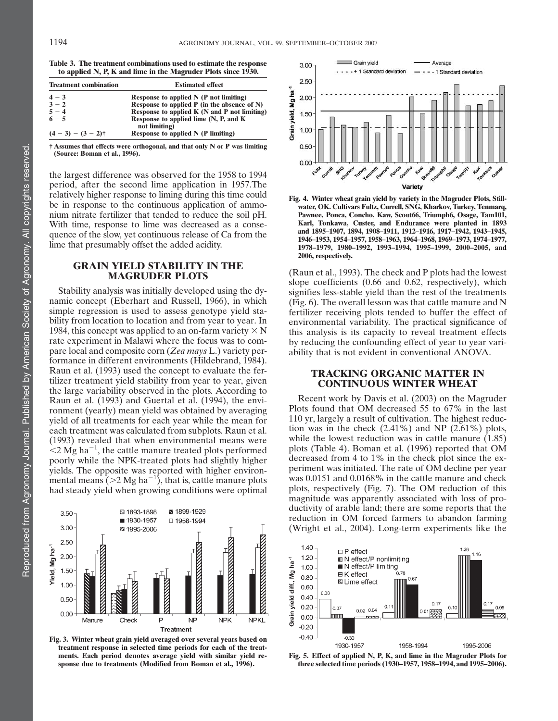| Table 3. The treatment combinations used to estimate the response |
|-------------------------------------------------------------------|
|                                                                   |
|                                                                   |
| to applied N, P, K and lime in the Magruder Plots since 1930.     |

| <b>Treatment combination</b> | <b>Estimated effect</b>                                |  |  |  |  |
|------------------------------|--------------------------------------------------------|--|--|--|--|
| $4 - 3$                      | Response to applied $N(P$ not limiting)                |  |  |  |  |
| $3 - 2$                      | Response to applied $P$ (in the absence of $N$ )       |  |  |  |  |
| $5 - 4$                      | Response to applied K (N and P not limiting)           |  |  |  |  |
| $6 - 5$                      | Response to applied lime (N, P, and K<br>not limiting) |  |  |  |  |
| $(4-3) - (3-2)\dagger$       | Response to applied N (P limiting)                     |  |  |  |  |

† Assumes that effects were orthogonal, and that only N or P was limiting (Source: Boman et al., 1996).

the largest difference was observed for the 1958 to 1994 period, after the second lime application in 1957.The relatively higher response to liming during this time could be in response to the continuous application of ammonium nitrate fertilizer that tended to reduce the soil pH. With time, response to lime was decreased as a consequence of the slow, yet continuous release of Ca from the lime that presumably offset the added acidity.

#### GRAIN YIELD STABILITY IN THE MAGRUDER PLOTS

Stability analysis was initially developed using the dynamic concept (Eberhart and Russell, 1966), in which simple regression is used to assess genotype yield stability from location to location and from year to year. In 1984, this concept was applied to an on-farm variety  $\times N$ rate experiment in Malawi where the focus was to compare local and composite corn (Zea mays L.) variety performance in different environments (Hildebrand, 1984). Raun et al. (1993) used the concept to evaluate the fertilizer treatment yield stability from year to year, given the large variability observed in the plots. According to Raun et al. (1993) and Guertal et al. (1994), the environment (yearly) mean yield was obtained by averaging yield of all treatments for each year while the mean for each treatment was calculated from subplots. Raun et al. (1993) revealed that when environmental means were  $\approx$  2 Mg ha<sup>-1</sup>, the cattle manure treated plots performed poorly while the NPK-treated plots had slightly higher yields. The opposite was reported with higher environmental means ( $>$ 2 Mg ha<sup>-1</sup>), that is, cattle manure plots had steady yield when growing conditions were optimal



Fig. 3. Winter wheat grain yield averaged over several years based on treatment response in selected time periods for each of the treatments. Each period denotes average yield with similar yield response due to treatments (Modified from Boman et al., 1996).





(Raun et al., 1993). The check and P plots had the lowest slope coefficients (0.66 and 0.62, respectively), which signifies less-stable yield than the rest of the treatments (Fig. 6). The overall lesson was that cattle manure and N fertilizer receiving plots tended to buffer the effect of environmental variability. The practical significance of this analysis is its capacity to reveal treatment effects by reducing the confounding effect of year to year variability that is not evident in conventional ANOVA.

#### TRACKING ORGANIC MATTER IN CONTINUOUS WINTER WHEAT

Recent work by Davis et al. (2003) on the Magruder Plots found that OM decreased 55 to 67% in the last 110 yr, largely a result of cultivation. The highest reduction was in the check (2.41%) and NP (2.61%) plots, while the lowest reduction was in cattle manure  $(1.85)$ plots (Table 4). Boman et al. (1996) reported that OM decreased from 4 to 1% in the check plot since the experiment was initiated. The rate of OM decline per year was 0.0151 and 0.0168% in the cattle manure and check plots, respectively (Fig. 7). The OM reduction of this magnitude was apparently associated with loss of productivity of arable land; there are some reports that the reduction in OM forced farmers to abandon farming (Wright et al., 2004). Long-term experiments like the



Fig. 5. Effect of applied N, P, K, and lime in the Magruder Plots for three selected time periods (1930–1957, 1958–1994, and 1995–2006).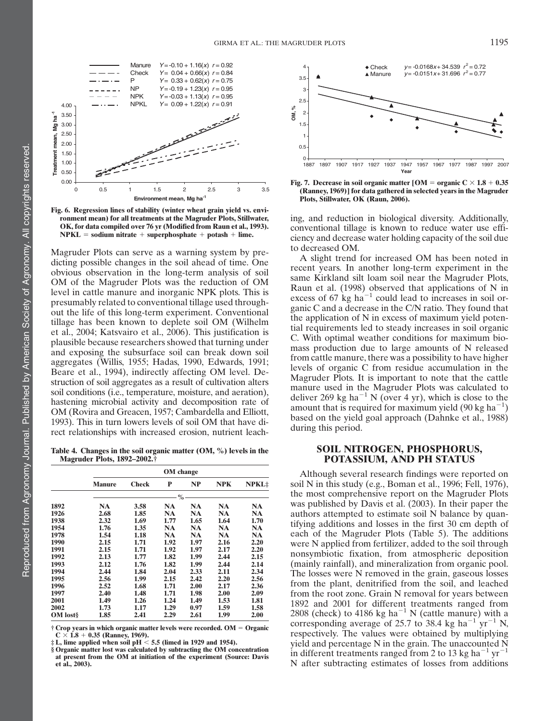

Fig. 6. Regression lines of stability (winter wheat grain yield vs. environment mean) for all treatments at the Magruder Plots, Stillwater, OK, for data compiled over 76 yr (Modified from Raun et al., 1993).  $NPKL = sodium nitrate + superphosphate + potash + lime.$ 

Magruder Plots can serve as a warning system by predicting possible changes in the soil ahead of time. One obvious observation in the long-term analysis of soil OM of the Magruder Plots was the reduction of OM level in cattle manure and inorganic NPK plots. This is presumably related to conventional tillage used throughout the life of this long-term experiment. Conventional tillage has been known to deplete soil OM (Wilhelm et al., 2004; Katsvairo et al., 2006). This justification is plausible because researchers showed that turning under and exposing the subsurface soil can break down soil aggregates (Willis, 1955; Hadas, 1990, Edwards, 1991; Beare et al., 1994), indirectly affecting OM level. Destruction of soil aggregates as a result of cultivation alters soil conditions (i.e., temperature, moisture, and aeration), hastening microbial activity and decomposition rate of OM (Rovira and Greacen, 1957; Cambardella and Elliott, 1993). This in turn lowers levels of soil OM that have direct relationships with increased erosion, nutrient leach-

Table 4. Changes in the soil organic matter (OM, %) levels in the Magruder Plots, 1892–2002.†

|                 | OM change     |              |                |           |            |              |  |  |  |  |
|-----------------|---------------|--------------|----------------|-----------|------------|--------------|--|--|--|--|
|                 | <b>Manure</b> | <b>Check</b> | P              | NP        | <b>NPK</b> | <b>NPKL:</b> |  |  |  |  |
|                 |               |              | $-\frac{6}{6}$ |           |            |              |  |  |  |  |
| 1892            | NA            | 3.58         | NA             | NA        | NA         | NA           |  |  |  |  |
| 1926            | 2.68          | 1.85         | <b>NA</b>      | NA        | <b>NA</b>  | NA           |  |  |  |  |
| 1938            | 2.32          | 1.69         | 1.77           | 1.65      | 1.64       | 1.70         |  |  |  |  |
| 1954            | 1.76          | 1.35         | NA             | <b>NA</b> | <b>NA</b>  | <b>NA</b>    |  |  |  |  |
| 1978            | 1.54          | 1.18         | <b>NA</b>      | <b>NA</b> | <b>NA</b>  | NA           |  |  |  |  |
| 1990            | 2.15          | 1.71         | 1.92           | 1.97      | 2.16       | 2.20         |  |  |  |  |
| 1991            | 2.15          | 1.71         | 1.92           | 1.97      | 2.17       | 2.20         |  |  |  |  |
| 1992            | 2.13          | 1.77         | 1.82           | 1.99      | 2.44       | 2.15         |  |  |  |  |
| 1993            | 2.12          | 1.76         | 1.82           | 1.99      | 2.44       | 2.14         |  |  |  |  |
| 1994            | 2.44          | 1.84         | 2.04           | 2.33      | 2.11       | 2.34         |  |  |  |  |
| 1995            | 2.56          | 1.99         | 2.15           | 2.42      | 2.20       | 2.56         |  |  |  |  |
| 1996            | 2.52          | 1.68         | 1.71           | 2.00      | 2.17       | 2.36         |  |  |  |  |
| 1997            | 2.40          | 1.48         | 1.71           | 1.98      | 2.00       | 2.09         |  |  |  |  |
| <b>2001</b>     | 1.49          | 1.26         | 1.24           | 1.49      | 1.53       | 1.81         |  |  |  |  |
| <b>2002</b>     | 1.73          | 1.17         | 1.29           | 0.97      | 1.59       | 1.58         |  |  |  |  |
| <b>OM</b> lost§ | 1.85          | 2.41         | 2.29           | 2.61      | 1.99       | 2.00         |  |  |  |  |

 $\dagger$  Crop years in which organic matter levels were recorded. OM = Organic

 $\rm C \times 1.8 + 0.35$  (Ranney, 1969).<br>‡ L, lime applied when soil pH < 5.5 (limed in 1929 and 1954).

§ Organic matter lost was calculated by subtracting the OM concentration at present from the OM at initiation of the experiment (Source: Davis et al., 2003).



Fig. 7. Decrease in soil organic matter [OM = organic  $C \times 1.8 + 0.35$ (Ranney, 1969)] for data gathered in selected years in the Magruder Plots, Stillwater, OK (Raun, 2006).

ing, and reduction in biological diversity. Additionally, conventional tillage is known to reduce water use efficiency and decrease water holding capacity of the soil due to decreased OM.

A slight trend for increased OM has been noted in recent years. In another long-term experiment in the same Kirkland silt loam soil near the Magruder Plots, Raun et al. (1998) observed that applications of N in excess of 67 kg ha<sup> $-1$ </sup> could lead to increases in soil organic C and a decrease in the C/N ratio. They found that the application of N in excess of maximum yield potential requirements led to steady increases in soil organic C. With optimal weather conditions for maximum biomass production due to large amounts of N released from cattle manure, there was a possibility to have higher levels of organic C from residue accumulation in the Magruder Plots. It is important to note that the cattle manure used in the Magruder Plots was calculated to deliver 269 kg ha<sup> $-1$ </sup> N (over 4 yr), which is close to the amount that is required for maximum yield (90 kg ha<sup>-1</sup>) based on the yield goal approach (Dahnke et al., 1988) during this period.

#### SOIL NITROGEN, PHOSPHORUS, POTASSIUM, AND PH STATUS

Although several research findings were reported on soil N in this study (e.g., Boman et al., 1996; Fell, 1976), the most comprehensive report on the Magruder Plots was published by Davis et al. (2003). In their paper the authors attempted to estimate soil N balance by quantifying additions and losses in the first 30 cm depth of each of the Magruder Plots (Table 5). The additions were N applied from fertilizer, added to the soil through nonsymbiotic fixation, from atmospheric deposition (mainly rainfall), and mineralization from organic pool. The losses were N removed in the grain, gaseous losses from the plant, denitrified from the soil, and leached from the root zone. Grain N removal for years between 1892 and 2001 for different treatments ranged from 2808 (check) to 4186 kg ha<sup>-1</sup> N (cattle manure) with a corresponding average of 25.7 to 38.4 kg ha<sup>-1</sup> yr<sup>-1</sup> N, respectively. The values were obtained by multiplying yield and percentage N in the grain. The unaccounted N in different treatments ranged from 2 to 13 kg ha<sup>-1</sup> yr<sup>-1</sup> N after subtracting estimates of losses from additions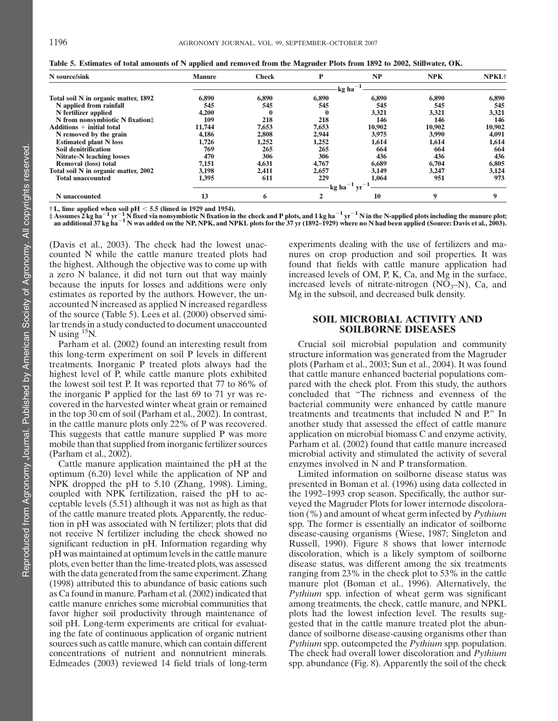|  | Table 5. Estimates of total amounts of N applied and removed from the Magruder Plots from 1892 to 2002, Stillwater, OK. |  |  |  |  |  |  |  |
|--|-------------------------------------------------------------------------------------------------------------------------|--|--|--|--|--|--|--|
|  |                                                                                                                         |  |  |  |  |  |  |  |

| N source/sink                        | <b>Manure</b> | <b>Check</b>             | P           | NP     | <b>NPK</b> | NPKL <sup>+</sup> |  |  |
|--------------------------------------|---------------|--------------------------|-------------|--------|------------|-------------------|--|--|
|                                      |               | $-kg$ ha <sup>-1</sup> - |             |        |            |                   |  |  |
| Total soil N in organic matter, 1892 | 6,890         | 6,890                    | 6,890       | 6,890  | 6,890      | 6,890             |  |  |
| N applied from rainfall              | 545           | 545                      | 545         | 545    | 545        | 545               |  |  |
| N fertilizer applied                 | 4.200         | $\bf{0}$                 | $\mathbf 0$ | 3,321  | 3,321      | 3,321             |  |  |
| N from nonsymbiotic N fixation#      | 109           | 218                      | 218         | 146    | 146        | 146               |  |  |
| $Additions + initial total$          | 11,744        | 7,653                    | 7.653       | 10.902 | 10,902     | 10,902            |  |  |
| N removed by the grain               | 4.186         | 2,808                    | 2,944       | 3,975  | 3,990      | 4,091             |  |  |
| <b>Estimated plant N</b> loss        | 1,726         | 1,252                    | 1,252       | 1.614  | 1,614      | 1,614             |  |  |
| Soil denitrification                 | 769           | 265                      | 265         | 664    | 664        | 664               |  |  |
| <b>Nitrate-N leaching losses</b>     | 470           | 306                      | 306         | 436    | 436        | 436               |  |  |
| <b>Removal (loss) total</b>          | 7.151         | 4,631                    | 4,767       | 6.689  | 6,704      | 6,805             |  |  |
| Total soil N in organic matter, 2002 | 3,198         | 2,411                    | 2,657       | 3.149  | 3,247      | 3,124             |  |  |
| <b>Total unaccounted</b>             | 1,395         | 611                      | 229         | 1.064  | 951        | 973               |  |  |
|                                      | kg ha         |                          |             |        |            |                   |  |  |
| N unaccounted                        | 13            | 6                        | 2           | 10     | 9          | 9                 |  |  |

 $\dagger$  L, lime applied when soil pH  $<$  5.5 (limed in 1929 and 1954).

 $\pm$  Assumes 2 kg ha $^{-1}$  yr  $^{-1}$  N fixed via nonsymbiotic N fixation in the check and P plots, and 1 kg ha $^{-1}$  yr  $^{-1}$  N in the N-applied plots including the manure plot;<br>an additional 37 kg ha $^{-1}$  N was added on the

(Davis et al., 2003). The check had the lowest unaccounted N while the cattle manure treated plots had the highest. Although the objective was to come up with a zero N balance, it did not turn out that way mainly because the inputs for losses and additions were only estimates as reported by the authors. However, the unaccounted N increased as applied N increased regardless of the source (Table 5). Lees et al. (2000) observed similar trends in a study conducted to document unaccounted N using  $^{15}$ N.

Parham et al. (2002) found an interesting result from this long-term experiment on soil P levels in different treatments. Inorganic P treated plots always had the highest level of P, while cattle manure plots exhibited the lowest soil test P. It was reported that 77 to 86% of the inorganic P applied for the last 69 to 71 yr was recovered in the harvested winter wheat grain or remained in the top 30 cm of soil (Parham et al., 2002). In contrast, in the cattle manure plots only 22% of P was recovered. This suggests that cattle manure supplied P was more mobile than that supplied from inorganic fertilizer sources (Parham et al., 2002).

Cattle manure application maintained the pH at the optimum (6.20) level while the application of NP and NPK dropped the pH to 5.10 (Zhang, 1998). Liming, coupled with NPK fertilization, raised the pH to acceptable levels (5.51) although it was not as high as that of the cattle manure treated plots. Apparently, the reduction in pH was associated with N fertilizer; plots that did not receive N fertilizer including the check showed no significant reduction in pH. Information regarding why pH was maintained at optimum levels in the cattle manure plots, even better than the lime-treated plots, was assessed with the data generated from the same experiment. Zhang (1998) attributed this to abundance of basic cations such as Ca found in manure. Parham et al. (2002) indicated that cattle manure enriches some microbial communities that favor higher soil productivity through maintenance of soil pH. Long-term experiments are critical for evaluating the fate of continuous application of organic nutrient sources such as cattle manure, which can contain different concentrations of nutrient and nonnutrient minerals. Edmeades (2003) reviewed 14 field trials of long-term experiments dealing with the use of fertilizers and manures on crop production and soil properties. It was found that fields with cattle manure application had increased levels of OM, P, K, Ca, and Mg in the surface, increased levels of nitrate-nitrogen  $(NO<sub>3</sub>–N)$ , Ca, and Mg in the subsoil, and decreased bulk density.

#### SOIL MICROBIAL ACTIVITY AND SOILBORNE DISEASES

Crucial soil microbial population and community structure information was generated from the Magruder plots (Parham et al., 2003; Sun et al., 2004). It was found that cattle manure enhanced bacterial populations compared with the check plot. From this study, the authors concluded that "The richness and evenness of the bacterial community were enhanced by cattle manure treatments and treatments that included N and P." In another study that assessed the effect of cattle manure application on microbial biomass C and enzyme activity, Parham et al. (2002) found that cattle manure increased microbial activity and stimulated the activity of several enzymes involved in N and P transformation.

Limited information on soilborne disease status was presented in Boman et al. (1996) using data collected in the 1992–1993 crop season. Specifically, the author surveyed the Magruder Plots for lower internode discoloration  $(\%)$  and amount of wheat germ infected by *Pythium* spp. The former is essentially an indicator of soilborne disease-causing organisms (Wiese, 1987; Singleton and Russell, 1990). Figure 8 shows that lower internode discoloration, which is a likely symptom of soilborne disease status, was different among the six treatments ranging from 23% in the check plot to 53% in the cattle manure plot (Boman et al., 1996). Alternatively, the Pythium spp. infection of wheat germ was significant among treatments, the check, cattle manure, and NPKL plots had the lowest infection level. The results suggested that in the cattle manure treated plot the abundance of soilborne disease-causing organisms other than Pythium spp. outcompeted the Pythium spp. population. The check had overall lower discoloration and Pythium spp. abundance (Fig. 8). Apparently the soil of the check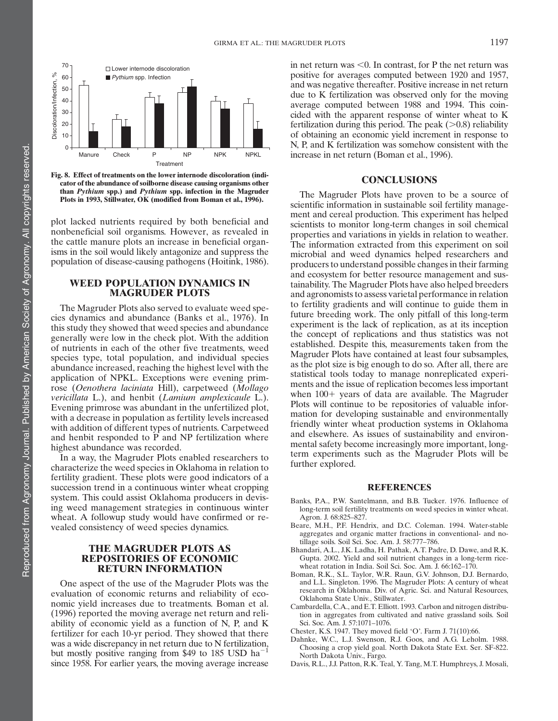

Fig. 8. Effect of treatments on the lower internode discoloration (indicator of the abundance of soilborne disease causing organisms other than Pythium spp.) and Pythium spp. infection in the Magruder Plots in 1993, Stillwater, OK (modified from Boman et al., 1996).

plot lacked nutrients required by both beneficial and nonbeneficial soil organisms. However, as revealed in the cattle manure plots an increase in beneficial organisms in the soil would likely antagonize and suppress the population of disease-causing pathogens (Hoitink, 1986).

#### WEED POPULATION DYNAMICS IN MAGRUDER PLOTS

The Magruder Plots also served to evaluate weed species dynamics and abundance (Banks et al., 1976). In this study they showed that weed species and abundance generally were low in the check plot. With the addition of nutrients in each of the other five treatments, weed species type, total population, and individual species abundance increased, reaching the highest level with the application of NPKL. Exceptions were evening primrose (Oenothera laciniata Hill), carpetweed (Mollago vericillata L.), and henbit (Lamium amplexicaule L.). Evening primrose was abundant in the unfertilized plot, with a decrease in population as fertility levels increased with addition of different types of nutrients. Carpetweed and henbit responded to P and NP fertilization where highest abundance was recorded.

In a way, the Magruder Plots enabled researchers to characterize the weed species in Oklahoma in relation to fertility gradient. These plots were good indicators of a succession trend in a continuous winter wheat cropping system. This could assist Oklahoma producers in devising weed management strategies in continuous winter wheat. A followup study would have confirmed or revealed consistency of weed species dynamics.

#### THE MAGRUDER PLOTS AS REPOSITORIES OF ECONOMIC RETURN INFORMATION

One aspect of the use of the Magruder Plots was the evaluation of economic returns and reliability of economic yield increases due to treatments. Boman et al. (1996) reported the moving average net return and reliability of economic yield as a function of N, P, and K fertilizer for each 10-yr period. They showed that there was a wide discrepancy in net return due to N fertilization, but mostly positive ranging from \$49 to 185 USD ha<sup> $-$ 1</sup> since 1958. For earlier years, the moving average increase in net return was  $< 0$ . In contrast, for P the net return was positive for averages computed between 1920 and 1957, and was negative thereafter. Positive increase in net return due to K fertilization was observed only for the moving average computed between 1988 and 1994. This coincided with the apparent response of winter wheat to K fertilization during this period. The peak  $(>0.8)$  reliability of obtaining an economic yield increment in response to N, P, and K fertilization was somehow consistent with the increase in net return (Boman et al., 1996).

#### **CONCLUSIONS**

The Magruder Plots have proven to be a source of scientific information in sustainable soil fertility management and cereal production. This experiment has helped scientists to monitor long-term changes in soil chemical properties and variations in yields in relation to weather. The information extracted from this experiment on soil microbial and weed dynamics helped researchers and producers to understand possible changes in their farming and ecosystem for better resource management and sustainability. The Magruder Plots have also helped breeders and agronomists to assess varietal performance in relation to fertility gradients and will continue to guide them in future breeding work. The only pitfall of this long-term experiment is the lack of replication, as at its inception the concept of replications and thus statistics was not established. Despite this, measurements taken from the Magruder Plots have contained at least four subsamples, as the plot size is big enough to do so. After all, there are statistical tools today to manage nonreplicated experiments and the issue of replication becomes less important when  $100+$  years of data are available. The Magruder Plots will continue to be repositories of valuable information for developing sustainable and environmentally friendly winter wheat production systems in Oklahoma and elsewhere. As issues of sustainability and environmental safety become increasingly more important, longterm experiments such as the Magruder Plots will be further explored.

#### REFERENCES

- Banks, P.A., P.W. Santelmann, and B.B. Tucker. 1976. Influence of long-term soil fertility treatments on weed species in winter wheat. Agron. J. 68:825–827.
- Beare, M.H., P.F. Hendrix, and D.C. Coleman. 1994. Water-stable aggregates and organic matter fractions in conventional- and notillage soils. Soil Sci. Soc. Am. J. 58:777–786.
- Bhandari, A.L., J.K. Ladha, H. Pathak, A.T. Padre, D. Dawe, and R.K. Gupta. 2002. Yield and soil nutrient changes in a long-term ricewheat rotation in India. Soil Sci. Soc. Am. J. 66:162–170.
- Boman, R.K., S.L. Taylor, W.R. Raun, G.V. Johnson, D.J. Bernardo, and L.L. Singleton. 1996. The Magruder Plots: A century of wheat research in Oklahoma. Div. of Agric. Sci. and Natural Resources, Oklahoma State Univ., Stillwater.
- Cambardella, C.A., and E.T. Elliott. 1993. Carbon and nitrogen distribution in aggregates from cultivated and native grassland soils. Soil Sci. Soc. Am. J. 57:1071–1076.
- Chester, K.S. 1947. They moved field 'O'. Farm J. 71(10):66.
- Dahnke, W.C., L.J. Swenson, R.J. Goos, and A.G. Leholm. 1988. Choosing a crop yield goal. North Dakota State Ext. Ser. SF-822. North Dakota Univ., Fargo.
- Davis, R.L., J.J. Patton, R.K. Teal, Y. Tang, M.T. Humphreys, J. Mosali,